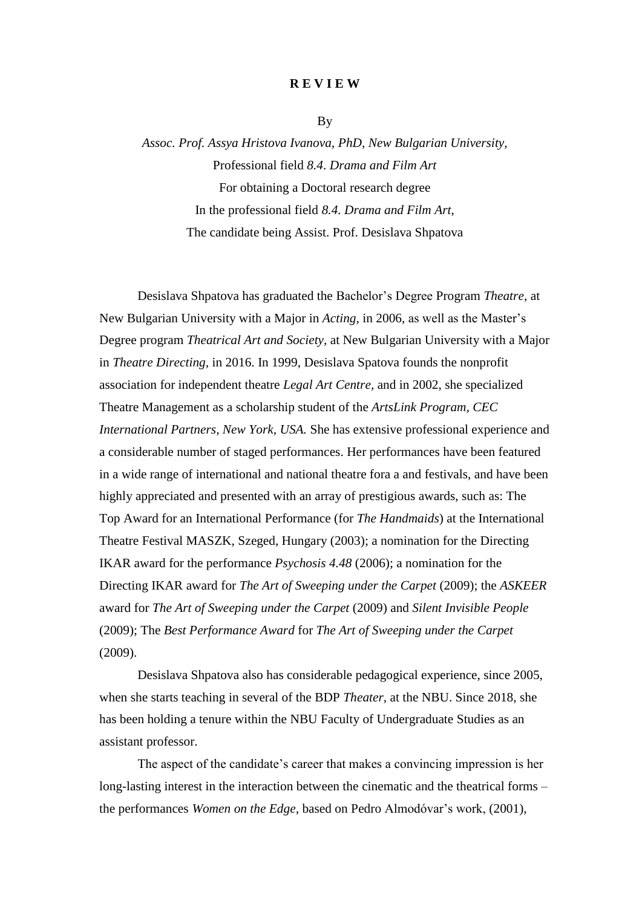## **R E V I E W**

By

*Assoc. Prof. Assya Hristova Ivanova, PhD, New Bulgarian University,*  Professional field *8.4*. *Drama and Film Art*  For obtaining a Doctoral research degree In the professional field *8.4. Drama and Film Art*, The candidate being Assist. Prof. Desislava Shpatova

Desislava Shpatova has graduated the Bachelor's Degree Program *Theatre,* at New Bulgarian University with a Major in *Acting,* in 2006, as well as the Master's Degree program *Theatrical Art and Society,* at New Bulgarian University with a Major in *Theatre Directing,* in 2016. In 1999, Desislava Spatova founds the nonprofit association for independent theatre *Legal Art Centre,* and in 2002, she specialized Theatre Management as a scholarship student of the *ArtsLink Program, CEC International Partners, New York, USA.* She has extensive professional experience and a considerable number of staged performances. Her performances have been featured in a wide range of international and national theatre fora a and festivals, and have been highly appreciated and presented with an array of prestigious awards, such as: The Top Award for an International Performance (for *The Handmaids*) at the International Theatre Festival MASZK, Szeged, Hungary (2003); a nomination for the Directing IKAR award for the performance *Psychosis 4.48* (2006); a nomination for the Directing IKAR award for *The Art of Sweeping under the Carpet* (2009); the *ASKEER* award for *The Art of Sweeping under the Carpet* (2009) and *Silent Invisible People*  (2009); The *Best Performance Award* for *The Art of Sweeping under the Carpet* (2009).

Desislava Shpatova also has considerable pedagogical experience, since 2005, when she starts teaching in several of the BDP *Theater,* at the NBU. Since 2018, she has been holding a tenure within the NBU Faculty of Undergraduate Studies as an assistant professor.

The aspect of the candidate's career that makes a convincing impression is her long-lasting interest in the interaction between the cinematic and the theatrical forms – the performances *Women on the Edge,* based on Pedro Almodóvar's work, (2001),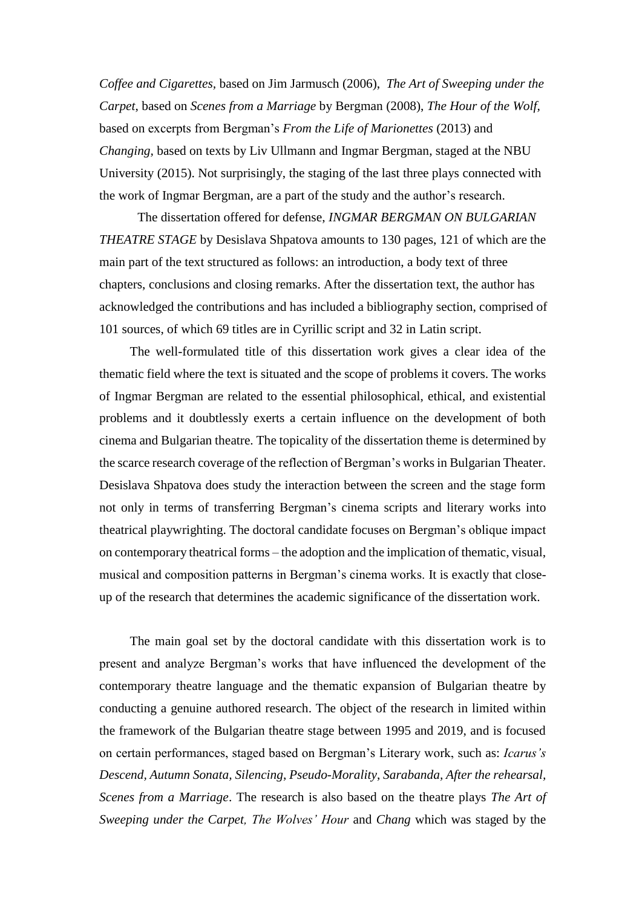*Coffee and Cigarettes,* based on Jim Jarmusch (2006), *The Art of Sweeping under the Carpet*, based on *Scenes from a Marriage* by Bergman (2008), *The Hour of the Wolf,*  based on excerpts from Bergman's *From the Life of Marionettes* (2013) and *Changing,* based on texts by Liv Ullmann and Ingmar Bergman, staged at the NBU University (2015). Not surprisingly, the staging of the last three plays connected with the work of Ingmar Bergman, are a part of the study and the author's research.

The dissertation offered for defense, *INGMAR BERGMAN ON BULGARIAN THEATRE STAGE* by Desislava Shpatova amounts to 130 pages, 121 of which are the main part of the text structured as follows: an introduction, a body text of three chapters, conclusions and closing remarks. After the dissertation text, the author has acknowledged the contributions and has included a bibliography section, comprised of 101 sources, of which 69 titles are in Cyrillic script and 32 in Latin script.

The well-formulated title of this dissertation work gives a clear idea of the thematic field where the text is situated and the scope of problems it covers. The works of Ingmar Bergman are related to the essential philosophical, ethical, and existential problems and it doubtlessly exerts a certain influence on the development of both cinema and Bulgarian theatre. The topicality of the dissertation theme is determined by the scarce research coverage of the reflection of Bergman's works in Bulgarian Theater. Desislava Shpatova does study the interaction between the screen and the stage form not only in terms of transferring Bergman's cinema scripts and literary works into theatrical playwrighting. The doctoral candidate focuses on Bergman's oblique impact on contemporary theatrical forms – the adoption and the implication of thematic, visual, musical and composition patterns in Bergman's cinema works. It is exactly that closeup of the research that determines the academic significance of the dissertation work.

The main goal set by the doctoral candidate with this dissertation work is to present and analyze Bergman's works that have influenced the development of the contemporary theatre language and the thematic expansion of Bulgarian theatre by conducting a genuine authored research. The object of the research in limited within the framework of the Bulgarian theatre stage between 1995 and 2019, and is focused on certain performances, staged based on Bergman's Literary work, such as: *Icarus's Descend, Autumn Sonata, Silencing*, *Pseudo-Morality*, *Sarabanda, After the rehearsal, Scenes from a Marriage*. The research is also based on the theatre plays *The Art of Sweeping under the Carpet, The Wolves' Hour* and *Chang* which was staged by the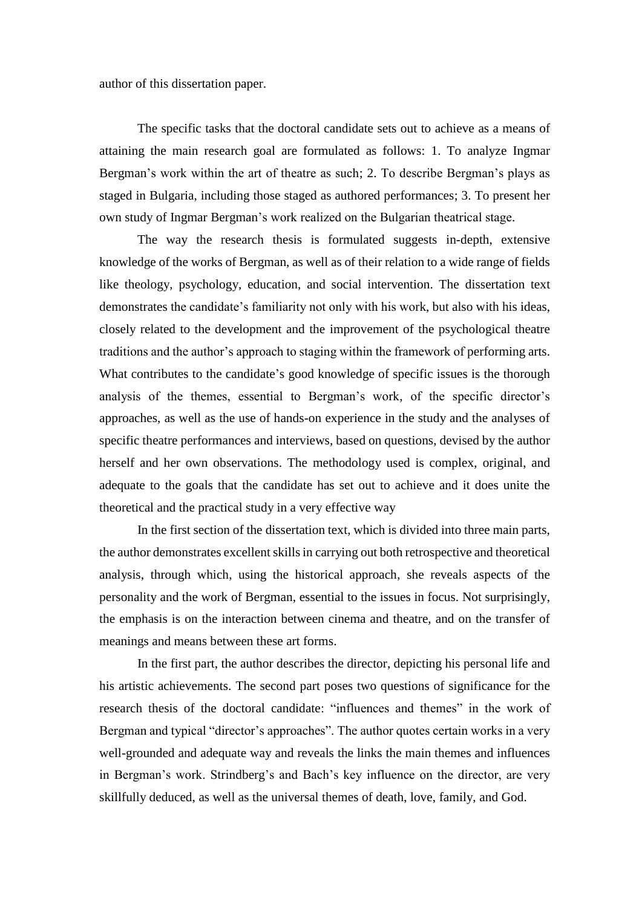author of this dissertation paper.

The specific tasks that the doctoral candidate sets out to achieve as a means of attaining the main research goal are formulated as follows: 1. To analyze Ingmar Bergman's work within the art of theatre as such; 2. To describe Bergman's plays as staged in Bulgaria, including those staged as authored performances; 3. To present her own study of Ingmar Bergman's work realized on the Bulgarian theatrical stage.

The way the research thesis is formulated suggests in-depth, extensive knowledge of the works of Bergman, as well as of their relation to a wide range of fields like theology, psychology, education, and social intervention. The dissertation text demonstrates the candidate's familiarity not only with his work, but also with his ideas, closely related to the development and the improvement of the psychological theatre traditions and the author's approach to staging within the framework of performing arts. What contributes to the candidate's good knowledge of specific issues is the thorough analysis of the themes, essential to Bergman's work, of the specific director's approaches, as well as the use of hands-on experience in the study and the analyses of specific theatre performances and interviews, based on questions, devised by the author herself and her own observations. The methodology used is complex, original, and adequate to the goals that the candidate has set out to achieve and it does unite the theoretical and the practical study in a very effective way

In the first section of the dissertation text, which is divided into three main parts, the author demonstrates excellent skills in carrying out both retrospective and theoretical analysis, through which, using the historical approach, she reveals aspects of the personality and the work of Bergman, essential to the issues in focus. Not surprisingly, the emphasis is on the interaction between cinema and theatre, and on the transfer of meanings and means between these art forms.

In the first part, the author describes the director, depicting his personal life and his artistic achievements. The second part poses two questions of significance for the research thesis of the doctoral candidate: "influences and themes" in the work of Bergman and typical "director's approaches". The author quotes certain works in a very well-grounded and adequate way and reveals the links the main themes and influences in Bergman's work. Strindberg's and Bach's key influence on the director, are very skillfully deduced, as well as the universal themes of death, love, family, and God.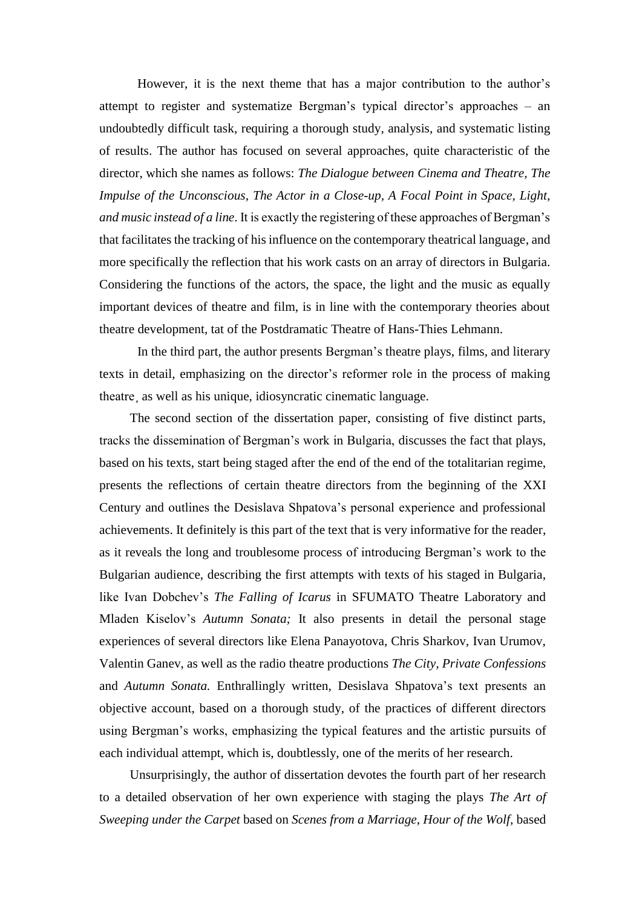However, it is the next theme that has a major contribution to the author's attempt to register and systematize Bergman's typical director's approaches – an undoubtedly difficult task, requiring a thorough study, analysis, and systematic listing of results. The author has focused on several approaches, quite characteristic of the director, which she names as follows: *The Dialogue between Cinema and Theatre, The Impulse of the Unconscious, The Actor in a Close-up, A Focal Point in Space, Light, and music instead of a line*. It is exactly the registering of these approaches of Bergman's that facilitates the tracking of his influence on the contemporary theatrical language, and more specifically the reflection that his work casts on an array of directors in Bulgaria. Considering the functions of the actors, the space, the light and the music as equally important devices of theatre and film, is in line with the contemporary theories about theatre development, tat of the Postdramatic Theatre of Hans-Thies Lehmann.

In the third part, the author presents Bergman's theatre plays, films, and literary texts in detail, emphasizing on the director's reformer role in the process of making theatre¸ as well as his unique, idiosyncratic cinematic language.

The second section of the dissertation paper, consisting of five distinct parts, tracks the dissemination of Bergman's work in Bulgaria, discusses the fact that plays, based on his texts, start being staged after the end of the end of the totalitarian regime, presents the reflections of certain theatre directors from the beginning of the XXI Century and outlines the Desislava Shpatova's personal experience and professional achievements. It definitely is this part of the text that is very informative for the reader, as it reveals the long and troublesome process of introducing Bergman's work to the Bulgarian audience, describing the first attempts with texts of his staged in Bulgaria, like Ivan Dobchev's *The Falling of Icarus* in SFUMATO Theatre Laboratory and Mladen Kiselov's *Autumn Sonata;* It also presents in detail the personal stage experiences of several directors like Elena Panayotova, Chris Sharkov, Ivan Urumov, Valentin Ganev, as well as the radio theatre productions *The City, Private Confessions*  and *Autumn Sonata.* Enthrallingly written, Desislava Shpatova's text presents an objective account, based on a thorough study, of the practices of different directors using Bergman's works, emphasizing the typical features and the artistic pursuits of each individual attempt, which is, doubtlessly, one of the merits of her research.

Unsurprisingly, the author of dissertation devotes the fourth part of her research to a detailed observation of her own experience with staging the plays *The Art of Sweeping under the Carpet* based on *Scenes from a Marriage*, *Hour of the Wolf,* based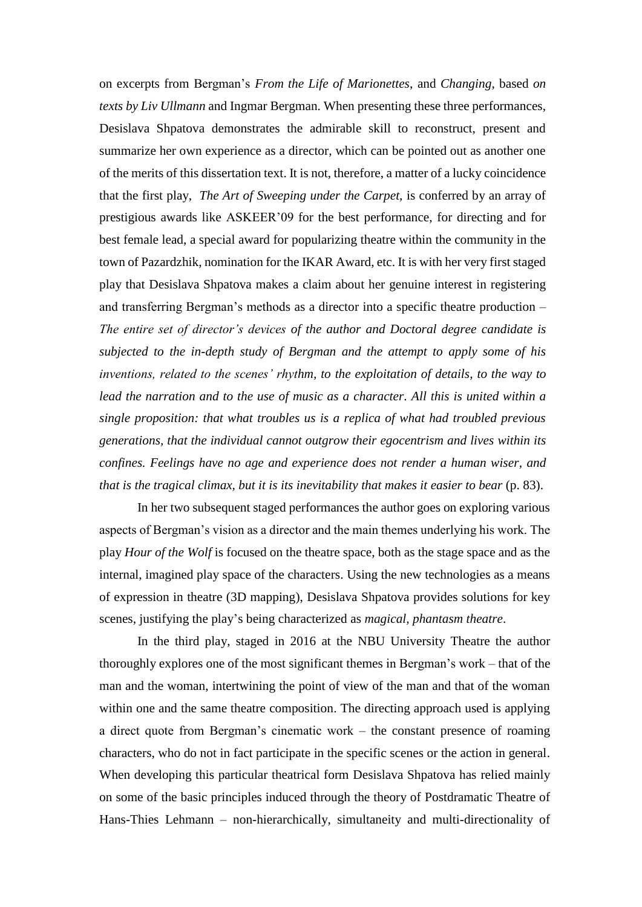on excerpts from Bergman's *From the Life of Marionettes*, and *Changing,* based *on texts by Liv Ullmann* and Ingmar Bergman. When presenting these three performances, Desislava Shpatova demonstrates the admirable skill to reconstruct, present and summarize her own experience as a director, which can be pointed out as another one of the merits of this dissertation text. It is not, therefore, a matter of a lucky coincidence that the first play, *The Art of Sweeping under the Carpet,* is conferred by an array of prestigious awards like ASKEER'09 for the best performance, for directing and for best female lead, a special award for popularizing theatre within the community in the town of Pazardzhik, nomination for the IKAR Award, etc. It is with her very first staged play that Desislava Shpatova makes a claim about her genuine interest in registering and transferring Bergman's methods as a director into a specific theatre production – *The entire set of director's devices of the author and Doctoral degree candidate is subjected to the in-depth study of Bergman and the attempt to apply some of his inventions, related to the scenes' rhythm, to the exploitation of details, to the way to lead the narration and to the use of music as a character. All this is united within a single proposition: that what troubles us is a replica of what had troubled previous generations, that the individual cannot outgrow their egocentrism and lives within its confines. Feelings have no age and experience does not render a human wiser, and that is the tragical climax, but it is its inevitability that makes it easier to bear* (p. 83).

In her two subsequent staged performances the author goes on exploring various aspects of Bergman's vision as a director and the main themes underlying his work. The play *Hour of the Wolf* is focused on the theatre space, both as the stage space and as the internal, imagined play space of the characters. Using the new technologies as a means of expression in theatre (3D mapping), Desislava Shpatova provides solutions for key scenes, justifying the play's being characterized as *magical, phantasm theatre*.

In the third play, staged in 2016 at the NBU University Theatre the author thoroughly explores one of the most significant themes in Bergman's work – that of the man and the woman, intertwining the point of view of the man and that of the woman within one and the same theatre composition. The directing approach used is applying a direct quote from Bergman's cinematic work – the constant presence of roaming characters, who do not in fact participate in the specific scenes or the action in general. When developing this particular theatrical form Desislava Shpatova has relied mainly on some of the basic principles induced through the theory of Postdramatic Theatre of Hans-Thies Lehmann – non-hierarchically, simultaneity and multi-directionality of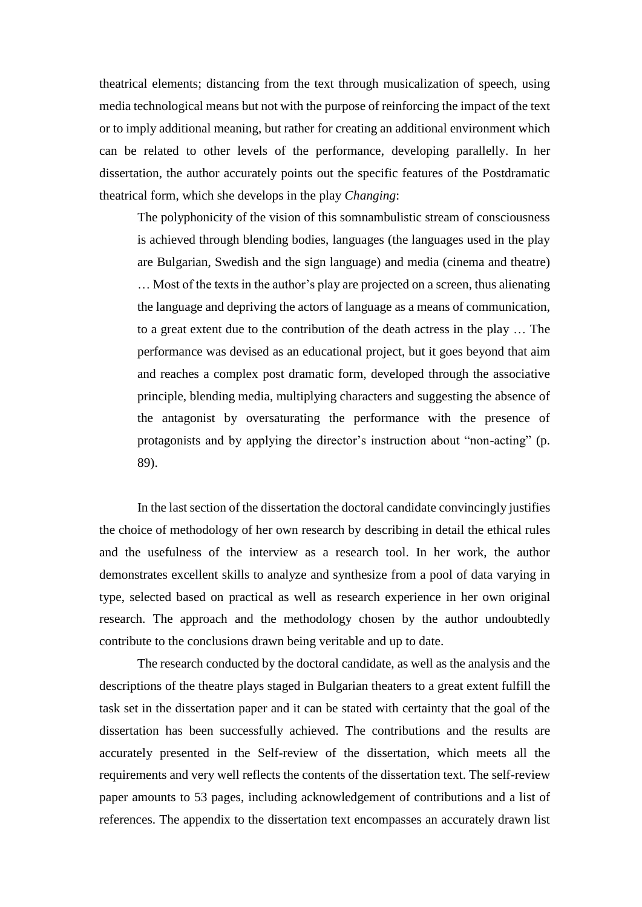theatrical elements; distancing from the text through musicalization of speech, using media technological means but not with the purpose of reinforcing the impact of the text or to imply additional meaning, but rather for creating an additional environment which can be related to other levels of the performance, developing parallelly. In her dissertation, the author accurately points out the specific features of the Postdramatic theatrical form, which she develops in the play *Changing*:

The polyphonicity of the vision of this somnambulistic stream of consciousness is achieved through blending bodies, languages (the languages used in the play are Bulgarian, Swedish and the sign language) and media (cinema and theatre) … Most of the texts in the author's play are projected on a screen, thus alienating the language and depriving the actors of language as a means of communication, to a great extent due to the contribution of the death actress in the play … The performance was devised as an educational project, but it goes beyond that aim and reaches a complex post dramatic form, developed through the associative principle, blending media, multiplying characters and suggesting the absence of the antagonist by oversaturating the performance with the presence of protagonists and by applying the director's instruction about "non-acting" (p. 89).

In the last section of the dissertation the doctoral candidate convincingly justifies the choice of methodology of her own research by describing in detail the ethical rules and the usefulness of the interview as a research tool. In her work, the author demonstrates excellent skills to analyze and synthesize from a pool of data varying in type, selected based on practical as well as research experience in her own original research. The approach and the methodology chosen by the author undoubtedly contribute to the conclusions drawn being veritable and up to date.

The research conducted by the doctoral candidate, as well as the analysis and the descriptions of the theatre plays staged in Bulgarian theaters to a great extent fulfill the task set in the dissertation paper and it can be stated with certainty that the goal of the dissertation has been successfully achieved. The contributions and the results are accurately presented in the Self-review of the dissertation, which meets all the requirements and very well reflects the contents of the dissertation text. The self-review paper amounts to 53 pages, including acknowledgement of contributions and a list of references. The appendix to the dissertation text encompasses an accurately drawn list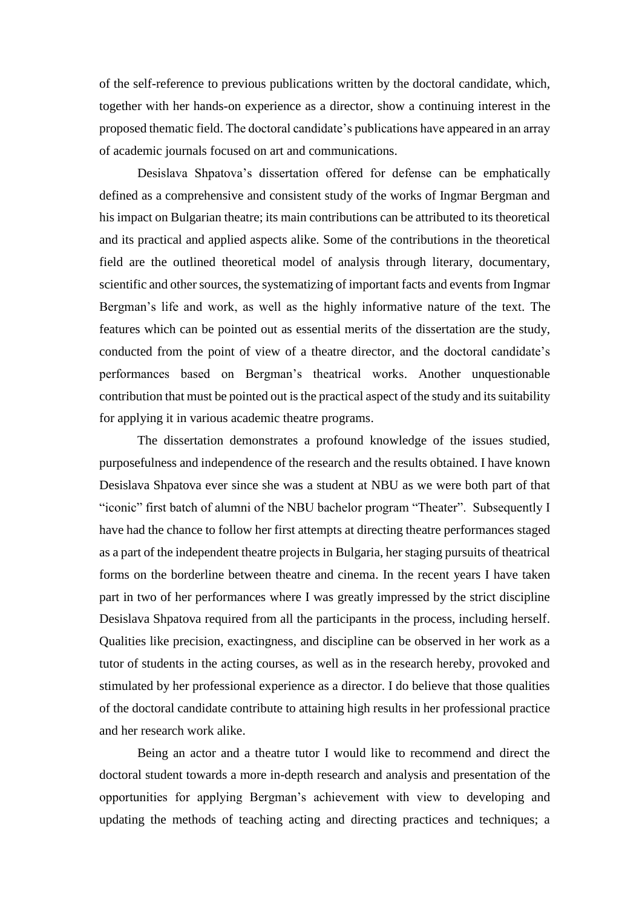of the self-reference to previous publications written by the doctoral candidate, which, together with her hands-on experience as a director, show a continuing interest in the proposed thematic field. The doctoral candidate's publications have appeared in an array of academic journals focused on art and communications.

Desislava Shpatova's dissertation offered for defense can be emphatically defined as a comprehensive and consistent study of the works of Ingmar Bergman and his impact on Bulgarian theatre; its main contributions can be attributed to its theoretical and its practical and applied aspects alike. Some of the contributions in the theoretical field are the outlined theoretical model of analysis through literary, documentary, scientific and other sources, the systematizing of important facts and events from Ingmar Bergman's life and work, as well as the highly informative nature of the text. The features which can be pointed out as essential merits of the dissertation are the study, conducted from the point of view of a theatre director, and the doctoral candidate's performances based on Bergman's theatrical works. Another unquestionable contribution that must be pointed out is the practical aspect of the study and its suitability for applying it in various academic theatre programs.

The dissertation demonstrates a profound knowledge of the issues studied, purposefulness and independence of the research and the results obtained. I have known Desislava Shpatova ever since she was a student at NBU as we were both part of that "iconic" first batch of alumni of the NBU bachelor program "Theater". Subsequently I have had the chance to follow her first attempts at directing theatre performances staged as a part of the independent theatre projects in Bulgaria, her staging pursuits of theatrical forms on the borderline between theatre and cinema. In the recent years I have taken part in two of her performances where I was greatly impressed by the strict discipline Desislava Shpatova required from all the participants in the process, including herself. Qualities like precision, exactingness, and discipline can be observed in her work as a tutor of students in the acting courses, as well as in the research hereby, provoked and stimulated by her professional experience as a director. I do believe that those qualities of the doctoral candidate contribute to attaining high results in her professional practice and her research work alike.

Being an actor and a theatre tutor I would like to recommend and direct the doctoral student towards a more in-depth research and analysis and presentation of the opportunities for applying Bergman's achievement with view to developing and updating the methods of teaching acting and directing practices and techniques; a